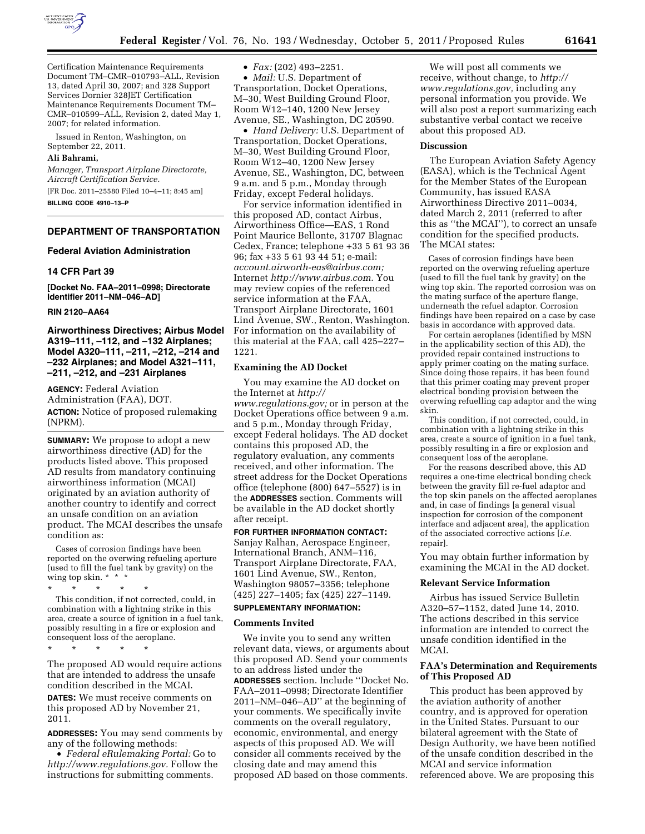

Certification Maintenance Requirements Document TM–CMR–010793–ALL, Revision 13, dated April 30, 2007; and 328 Support Services Dornier 328JET Certification Maintenance Requirements Document TM– CMR–010599–ALL, Revision 2, dated May 1, 2007; for related information.

Issued in Renton, Washington, on September 22, 2011.

# **Ali Bahrami,**

*Manager, Transport Airplane Directorate, Aircraft Certification Service.* 

[FR Doc. 2011–25580 Filed 10–4–11; 8:45 am] **BILLING CODE 4910–13–P** 

# **DEPARTMENT OF TRANSPORTATION**

## **Federal Aviation Administration**

#### **14 CFR Part 39**

**[Docket No. FAA–2011–0998; Directorate Identifier 2011–NM–046–AD]** 

## **RIN 2120–AA64**

**Airworthiness Directives; Airbus Model A319–111, –112, and –132 Airplanes; Model A320–111, –211, –212, –214 and –232 Airplanes; and Model A321–111, –211, –212, and –231 Airplanes** 

**AGENCY:** Federal Aviation Administration (FAA), DOT.

**ACTION:** Notice of proposed rulemaking (NPRM).

**SUMMARY:** We propose to adopt a new airworthiness directive (AD) for the products listed above. This proposed AD results from mandatory continuing airworthiness information (MCAI) originated by an aviation authority of another country to identify and correct an unsafe condition on an aviation product. The MCAI describes the unsafe condition as:

Cases of corrosion findings have been reported on the overwing refueling aperture (used to fill the fuel tank by gravity) on the wing top skin. \* \* \*

\* \* \* \* \*

This condition, if not corrected, could, in combination with a lightning strike in this area, create a source of ignition in a fuel tank, possibly resulting in a fire or explosion and consequent loss of the aeroplane.

\* \* \* \* \*

The proposed AD would require actions that are intended to address the unsafe condition described in the MCAI. **DATES:** We must receive comments on this proposed AD by November 21, 2011.

**ADDRESSES:** You may send comments by any of the following methods:

• *Federal eRulemaking Portal:* Go to *[http://www.regulations.gov.](http://www.regulations.gov)* Follow the instructions for submitting comments.

• *Fax:* (202) 493–2251.

• *Mail:* U.S. Department of Transportation, Docket Operations, M–30, West Building Ground Floor, Room W12–140, 1200 New Jersey Avenue, SE., Washington, DC 20590.

• *Hand Delivery:* U.S. Department of Transportation, Docket Operations, M–30, West Building Ground Floor, Room W12–40, 1200 New Jersey Avenue, SE., Washington, DC, between 9 a.m. and 5 p.m., Monday through Friday, except Federal holidays.

For service information identified in this proposed AD, contact Airbus, Airworthiness Office—EAS, 1 Rond Point Maurice Bellonte, 31707 Blagnac Cedex, France; telephone +33 5 61 93 36 96; fax +33 5 61 93 44 51; e-mail: *[account.airworth-eas@airbus.com;](mailto:account.airworth-eas@airbus.com)*  Internet *[http://www.airbus.com.](http://www.airbus.com)* You may review copies of the referenced service information at the FAA, Transport Airplane Directorate, 1601 Lind Avenue, SW., Renton, Washington. For information on the availability of this material at the FAA, call 425–227– 1221.

## **Examining the AD Docket**

You may examine the AD docket on the Internet at *[http://](http://www.regulations.gov)  [www.regulations.gov;](http://www.regulations.gov)* or in person at the Docket Operations office between 9 a.m. and 5 p.m., Monday through Friday, except Federal holidays. The AD docket contains this proposed AD, the regulatory evaluation, any comments received, and other information. The street address for the Docket Operations office (telephone (800) 647–5527) is in the **ADDRESSES** section. Comments will be available in the AD docket shortly after receipt.

**FOR FURTHER INFORMATION CONTACT:**  Sanjay Ralhan, Aerospace Engineer, International Branch, ANM–116, Transport Airplane Directorate, FAA, 1601 Lind Avenue, SW., Renton, Washington 98057–3356; telephone (425) 227–1405; fax (425) 227–1149.

# **SUPPLEMENTARY INFORMATION:**

## **Comments Invited**

We invite you to send any written relevant data, views, or arguments about this proposed AD. Send your comments to an address listed under the **ADDRESSES** section. Include ''Docket No. FAA–2011–0998; Directorate Identifier 2011–NM–046–AD'' at the beginning of your comments. We specifically invite comments on the overall regulatory, economic, environmental, and energy aspects of this proposed AD. We will consider all comments received by the closing date and may amend this proposed AD based on those comments.

We will post all comments we receive, without change, to *[http://](http://www.regulations.gov) [www.regulations.gov,](http://www.regulations.gov)* including any personal information you provide. We will also post a report summarizing each substantive verbal contact we receive about this proposed AD.

#### **Discussion**

The European Aviation Safety Agency (EASA), which is the Technical Agent for the Member States of the European Community, has issued EASA Airworthiness Directive 2011–0034, dated March 2, 2011 (referred to after this as ''the MCAI''), to correct an unsafe condition for the specified products. The MCAI states:

Cases of corrosion findings have been reported on the overwing refueling aperture (used to fill the fuel tank by gravity) on the wing top skin. The reported corrosion was on the mating surface of the aperture flange, underneath the refuel adaptor. Corrosion findings have been repaired on a case by case basis in accordance with approved data.

For certain aeroplanes (identified by MSN in the applicability section of this AD), the provided repair contained instructions to apply primer coating on the mating surface. Since doing those repairs, it has been found that this primer coating may prevent proper electrical bonding provision between the overwing refuelling cap adaptor and the wing skin.

This condition, if not corrected, could, in combination with a lightning strike in this area, create a source of ignition in a fuel tank, possibly resulting in a fire or explosion and consequent loss of the aeroplane.

For the reasons described above, this AD requires a one-time electrical bonding check between the gravity fill re-fuel adaptor and the top skin panels on the affected aeroplanes and, in case of findings [a general visual inspection for corrosion of the component interface and adjacent area], the application of the associated corrective actions [*i.e.*  repair].

You may obtain further information by examining the MCAI in the AD docket.

#### **Relevant Service Information**

Airbus has issued Service Bulletin A320–57–1152, dated June 14, 2010. The actions described in this service information are intended to correct the unsafe condition identified in the MCAI.

# **FAA's Determination and Requirements of This Proposed AD**

This product has been approved by the aviation authority of another country, and is approved for operation in the United States. Pursuant to our bilateral agreement with the State of Design Authority, we have been notified of the unsafe condition described in the MCAI and service information referenced above. We are proposing this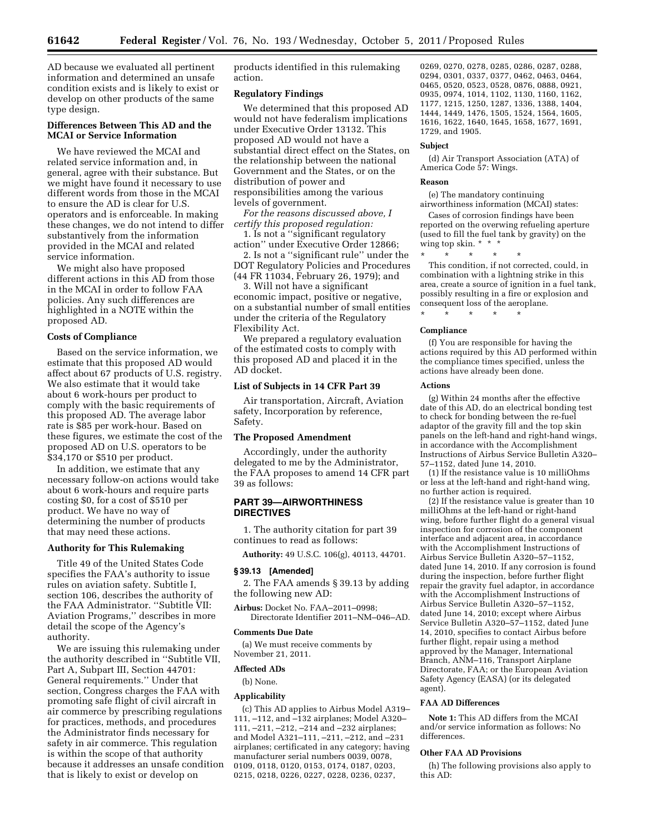AD because we evaluated all pertinent information and determined an unsafe condition exists and is likely to exist or develop on other products of the same type design.

# **Differences Between This AD and the MCAI or Service Information**

We have reviewed the MCAI and related service information and, in general, agree with their substance. But we might have found it necessary to use different words from those in the MCAI to ensure the AD is clear for U.S. operators and is enforceable. In making these changes, we do not intend to differ substantively from the information provided in the MCAI and related service information.

We might also have proposed different actions in this AD from those in the MCAI in order to follow FAA policies. Any such differences are highlighted in a NOTE within the proposed AD.

## **Costs of Compliance**

Based on the service information, we estimate that this proposed AD would affect about 67 products of U.S. registry. We also estimate that it would take about 6 work-hours per product to comply with the basic requirements of this proposed AD. The average labor rate is \$85 per work-hour. Based on these figures, we estimate the cost of the proposed AD on U.S. operators to be \$34,170 or \$510 per product.

In addition, we estimate that any necessary follow-on actions would take about 6 work-hours and require parts costing \$0, for a cost of \$510 per product. We have no way of determining the number of products that may need these actions.

# **Authority for This Rulemaking**

Title 49 of the United States Code specifies the FAA's authority to issue rules on aviation safety. Subtitle I, section 106, describes the authority of the FAA Administrator. ''Subtitle VII: Aviation Programs,'' describes in more detail the scope of the Agency's authority.

We are issuing this rulemaking under the authority described in ''Subtitle VII, Part A, Subpart III, Section 44701: General requirements.'' Under that section, Congress charges the FAA with promoting safe flight of civil aircraft in air commerce by prescribing regulations for practices, methods, and procedures the Administrator finds necessary for safety in air commerce. This regulation is within the scope of that authority because it addresses an unsafe condition that is likely to exist or develop on

products identified in this rulemaking action.

## **Regulatory Findings**

We determined that this proposed AD would not have federalism implications under Executive Order 13132. This proposed AD would not have a substantial direct effect on the States, on the relationship between the national Government and the States, or on the distribution of power and responsibilities among the various levels of government.

*For the reasons discussed above, I certify this proposed regulation:* 

1. Is not a ''significant regulatory action'' under Executive Order 12866;

2. Is not a ''significant rule'' under the DOT Regulatory Policies and Procedures (44 FR 11034, February 26, 1979); and

3. Will not have a significant economic impact, positive or negative, on a substantial number of small entities under the criteria of the Regulatory Flexibility Act.

We prepared a regulatory evaluation of the estimated costs to comply with this proposed AD and placed it in the AD docket.

## **List of Subjects in 14 CFR Part 39**

Air transportation, Aircraft, Aviation safety, Incorporation by reference, Safety.

#### **The Proposed Amendment**

Accordingly, under the authority delegated to me by the Administrator, the FAA proposes to amend 14 CFR part 39 as follows:

# **PART 39—AIRWORTHINESS DIRECTIVES**

1. The authority citation for part 39 continues to read as follows:

**Authority:** 49 U.S.C. 106(g), 40113, 44701.

## **§ 39.13 [Amended]**

2. The FAA amends § 39.13 by adding the following new AD:

**Airbus:** Docket No. FAA–2011–0998; Directorate Identifier 2011–NM–046–AD.

### **Comments Due Date**

(a) We must receive comments by November 21, 2011.

#### **Affected ADs**

(b) None.

#### **Applicability**

(c) This AD applies to Airbus Model A319– 111, –112, and –132 airplanes; Model A320– 111, –211, –212, –214 and –232 airplanes; and Model A321–111, –211, –212, and –231 airplanes; certificated in any category; having manufacturer serial numbers 0039, 0078, 0109, 0118, 0120, 0153, 0174, 0187, 0203, 0215, 0218, 0226, 0227, 0228, 0236, 0237,

0269, 0270, 0278, 0285, 0286, 0287, 0288, 0294, 0301, 0337, 0377, 0462, 0463, 0464, 0465, 0520, 0523, 0528, 0876, 0888, 0921, 0935, 0974, 1014, 1102, 1130, 1160, 1162, 1177, 1215, 1250, 1287, 1336, 1388, 1404, 1444, 1449, 1476, 1505, 1524, 1564, 1605, 1616, 1622, 1640, 1645, 1658, 1677, 1691, 1729, and 1905.

### **Subject**

(d) Air Transport Association (ATA) of America Code 57: Wings.

#### **Reason**

(e) The mandatory continuing airworthiness information (MCAI) states:

Cases of corrosion findings have been reported on the overwing refueling aperture (used to fill the fuel tank by gravity) on the wing top skin. \* \* \*

\* \* \* \* \* This condition, if not corrected, could, in combination with a lightning strike in this area, create a source of ignition in a fuel tank, possibly resulting in a fire or explosion and consequent loss of the aeroplane.

## **Compliance**

\* \* \* \* \*

(f) You are responsible for having the actions required by this AD performed within the compliance times specified, unless the actions have already been done.

#### **Actions**

(g) Within 24 months after the effective date of this AD, do an electrical bonding test to check for bonding between the re-fuel adaptor of the gravity fill and the top skin panels on the left-hand and right-hand wings, in accordance with the Accomplishment Instructions of Airbus Service Bulletin A320– 57–1152, dated June 14, 2010.

(1) If the resistance value is 10 milliOhms or less at the left-hand and right-hand wing, no further action is required.

(2) If the resistance value is greater than 10 milliOhms at the left-hand or right-hand wing, before further flight do a general visual inspection for corrosion of the component interface and adjacent area, in accordance with the Accomplishment Instructions of Airbus Service Bulletin A320–57–1152, dated June 14, 2010. If any corrosion is found during the inspection, before further flight repair the gravity fuel adaptor, in accordance with the Accomplishment Instructions of Airbus Service Bulletin A320–57–1152, dated June 14, 2010; except where Airbus Service Bulletin A320–57–1152, dated June 14, 2010, specifies to contact Airbus before further flight, repair using a method approved by the Manager, International Branch, ANM–116, Transport Airplane Directorate, FAA; or the European Aviation Safety Agency (EASA) (or its delegated agent).

#### **FAA AD Differences**

**Note 1:** This AD differs from the MCAI and/or service information as follows: No differences.

## **Other FAA AD Provisions**

(h) The following provisions also apply to this AD: